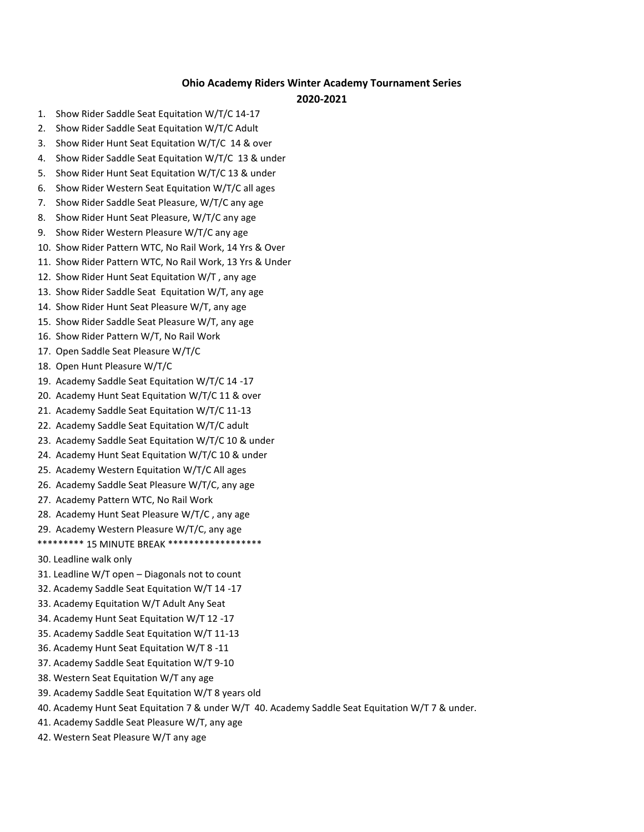## **Ohio Academy Riders Winter Academy Tournament Series**

## **2020-2021**

- 1. Show Rider Saddle Seat Equitation W/T/C 14-17
- 2. Show Rider Saddle Seat Equitation W/T/C Adult
- 3. Show Rider Hunt Seat Equitation W/T/C 14 & over
- 4. Show Rider Saddle Seat Equitation W/T/C 13 & under
- 5. Show Rider Hunt Seat Equitation W/T/C 13 & under
- 6. Show Rider Western Seat Equitation W/T/C all ages
- 7. Show Rider Saddle Seat Pleasure, W/T/C any age
- 8. Show Rider Hunt Seat Pleasure, W/T/C any age
- 9. Show Rider Western Pleasure W/T/C any age
- 10. Show Rider Pattern WTC, No Rail Work, 14 Yrs & Over
- 11. Show Rider Pattern WTC, No Rail Work, 13 Yrs & Under
- 12. Show Rider Hunt Seat Equitation W/T , any age
- 13. Show Rider Saddle Seat Equitation W/T, any age
- 14. Show Rider Hunt Seat Pleasure W/T, any age
- 15. Show Rider Saddle Seat Pleasure W/T, any age
- 16. Show Rider Pattern W/T, No Rail Work
- 17. Open Saddle Seat Pleasure W/T/C
- 18. Open Hunt Pleasure W/T/C
- 19. Academy Saddle Seat Equitation W/T/C 14 -17
- 20. Academy Hunt Seat Equitation W/T/C 11 & over
- 21. Academy Saddle Seat Equitation W/T/C 11-13
- 22. Academy Saddle Seat Equitation W/T/C adult
- 23. Academy Saddle Seat Equitation W/T/C 10 & under
- 24. Academy Hunt Seat Equitation W/T/C 10 & under
- 25. Academy Western Equitation W/T/C All ages
- 26. Academy Saddle Seat Pleasure W/T/C, any age
- 27. Academy Pattern WTC, No Rail Work
- 28. Academy Hunt Seat Pleasure W/T/C , any age
- 29. Academy Western Pleasure W/T/C, any age
- \*\*\*\*\*\*\*\*\*\* 15 MINUTE BREAK \*\*\*\*\*\*\*\*\*\*\*\*\*\*\*\*\*\*\*
- 30. Leadline walk only
- 31. Leadline W/T open Diagonals not to count
- 32. Academy Saddle Seat Equitation W/T 14 -17
- 33. Academy Equitation W/T Adult Any Seat
- 34. Academy Hunt Seat Equitation W/T 12 -17
- 35. Academy Saddle Seat Equitation W/T 11-13
- 36. Academy Hunt Seat Equitation W/T 8 -11
- 37. Academy Saddle Seat Equitation W/T 9-10
- 38. Western Seat Equitation W/T any age
- 39. Academy Saddle Seat Equitation W/T 8 years old
- 40. Academy Hunt Seat Equitation 7 & under W/T 40. Academy Saddle Seat Equitation W/T 7 & under.
- 41. Academy Saddle Seat Pleasure W/T, any age
- 42. Western Seat Pleasure W/T any age